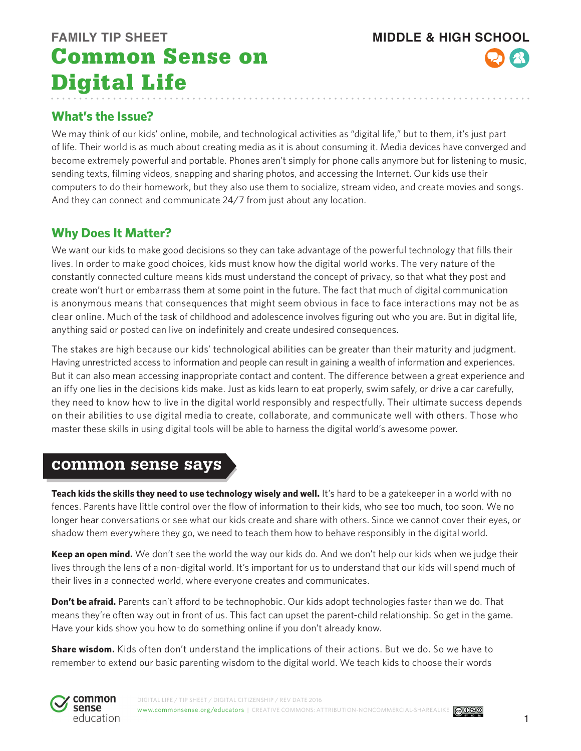## **FAMILY TIP SHEET MIDDLE & HIGH SCHOOL** Common Sense on Digital Life

## **What's the Issue?**

We may think of our kids' online, mobile, and technological activities as "digital life," but to them, it's just part of life. Their world is as much about creating media as it is about consuming it. Media devices have converged and become extremely powerful and portable. Phones aren't simply for phone calls anymore but for listening to music, sending texts, filming videos, snapping and sharing photos, and accessing the Internet. Our kids use their computers to do their homework, but they also use them to socialize, stream video, and create movies and songs. And they can connect and communicate 24/7 from just about any location.

## **Why Does It Matter?**

We want our kids to make good decisions so they can take advantage of the powerful technology that fills their lives. In order to make good choices, kids must know how the digital world works. The very nature of the constantly connected culture means kids must understand the concept of privacy, so that what they post and create won't hurt or embarrass them at some point in the future. The fact that much of digital communication is anonymous means that consequences that might seem obvious in face to face interactions may not be as clear online. Much of the task of childhood and adolescence involves figuring out who you are. But in digital life, anything said or posted can live on indefinitely and create undesired consequences.

The stakes are high because our kids' technological abilities can be greater than their maturity and judgment. Having unrestricted access to information and people can result in gaining a wealth of information and experiences. But it can also mean accessing inappropriate contact and content. The difference between a great experience and an iffy one lies in the decisions kids make. Just as kids learn to eat properly, swim safely, or drive a car carefully, they need to know how to live in the digital world responsibly and respectfully. Their ultimate success depends on their abilities to use digital media to create, collaborate, and communicate well with others. Those who master these skills in using digital tools will be able to harness the digital world's awesome power.

## common sense says

**Teach kids the skills they need to use technology wisely and well.** It's hard to be a gatekeeper in a world with no fences. Parents have little control over the flow of information to their kids, who see too much, too soon. We no longer hear conversations or see what our kids create and share with others. Since we cannot cover their eyes, or shadow them everywhere they go, we need to teach them how to behave responsibly in the digital world.

**Keep an open mind.** We don't see the world the way our kids do. And we don't help our kids when we judge their lives through the lens of a non-digital world. It's important for us to understand that our kids will spend much of their lives in a connected world, where everyone creates and communicates.

**Don't be afraid.** Parents can't afford to be technophobic. Our kids adopt technologies faster than we do. That means they're often way out in front of us. This fact can upset the parent-child relationship. So get in the game. Have your kids show you how to do something online if you don't already know.

**Share wisdom.** Kids often don't understand the implications of their actions. But we do. So we have to remember to extend our basic parenting wisdom to the digital world. We teach kids to choose their words